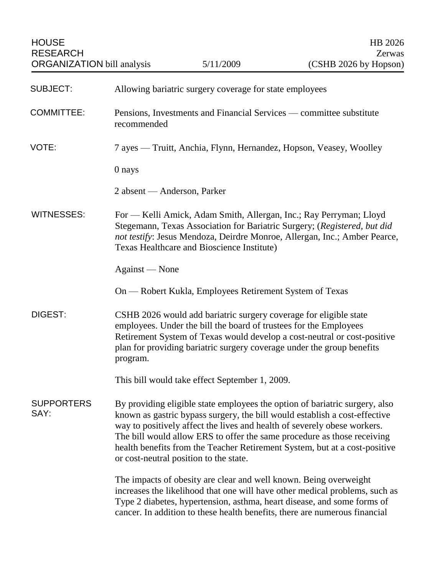| <b>SUBJECT:</b>           | Allowing bariatric surgery coverage for state employees                                                                                                                                                                                                                                                                                                                                                                                  |
|---------------------------|------------------------------------------------------------------------------------------------------------------------------------------------------------------------------------------------------------------------------------------------------------------------------------------------------------------------------------------------------------------------------------------------------------------------------------------|
| <b>COMMITTEE:</b>         | Pensions, Investments and Financial Services — committee substitute<br>recommended                                                                                                                                                                                                                                                                                                                                                       |
| VOTE:                     | 7 ayes — Truitt, Anchia, Flynn, Hernandez, Hopson, Veasey, Woolley                                                                                                                                                                                                                                                                                                                                                                       |
|                           | 0 nays                                                                                                                                                                                                                                                                                                                                                                                                                                   |
|                           | 2 absent — Anderson, Parker                                                                                                                                                                                                                                                                                                                                                                                                              |
| <b>WITNESSES:</b>         | For — Kelli Amick, Adam Smith, Allergan, Inc.; Ray Perryman; Lloyd<br>Stegemann, Texas Association for Bariatric Surgery; (Registered, but did<br>not testify: Jesus Mendoza, Deirdre Monroe, Allergan, Inc.; Amber Pearce,<br>Texas Healthcare and Bioscience Institute)                                                                                                                                                                |
|                           | Against — None                                                                                                                                                                                                                                                                                                                                                                                                                           |
|                           | On — Robert Kukla, Employees Retirement System of Texas                                                                                                                                                                                                                                                                                                                                                                                  |
| DIGEST:                   | CSHB 2026 would add bariatric surgery coverage for eligible state<br>employees. Under the bill the board of trustees for the Employees<br>Retirement System of Texas would develop a cost-neutral or cost-positive<br>plan for providing bariatric surgery coverage under the group benefits<br>program.                                                                                                                                 |
|                           | This bill would take effect September 1, 2009.                                                                                                                                                                                                                                                                                                                                                                                           |
| <b>SUPPORTERS</b><br>SAY: | By providing eligible state employees the option of bariatric surgery, also<br>known as gastric bypass surgery, the bill would establish a cost-effective<br>way to positively affect the lives and health of severely obese workers.<br>The bill would allow ERS to offer the same procedure as those receiving<br>health benefits from the Teacher Retirement System, but at a cost-positive<br>or cost-neutral position to the state. |
|                           | The impacts of obesity are clear and well known. Being overweight<br>increases the likelihood that one will have other medical problems, such as<br>Type 2 diabetes, hypertension, asthma, heart disease, and some forms of<br>cancer. In addition to these health benefits, there are numerous financial                                                                                                                                |